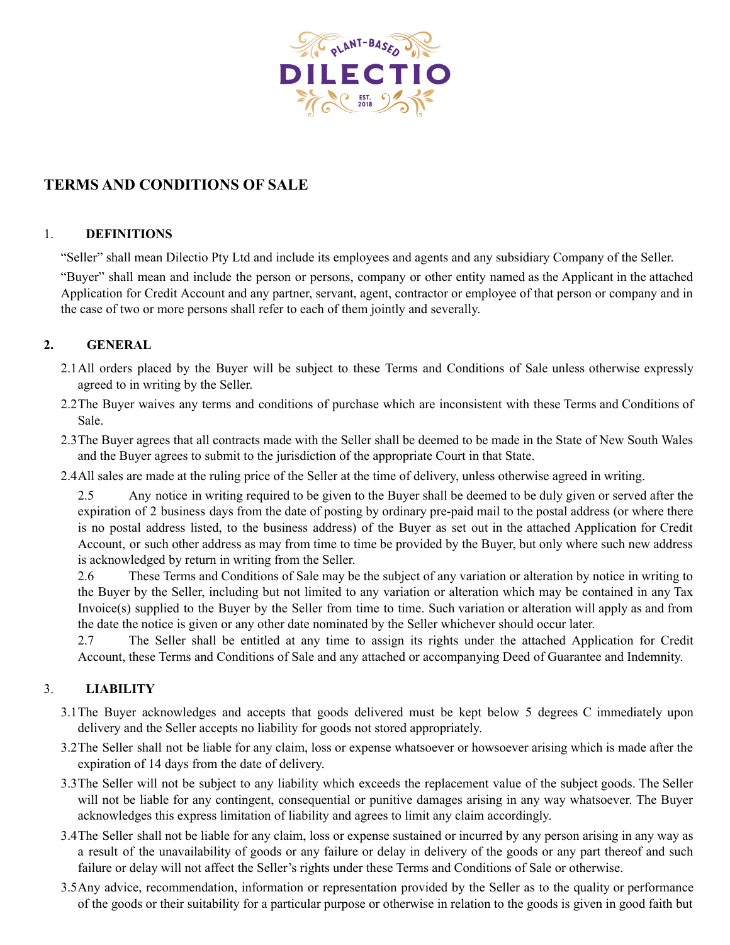

# **TERMS AND CONDITIONS OF SALE**

#### 1. **DEFINITIONS**

"Seller" shall mean Dilectio Pty Ltd and include its employees and agents and any subsidiary Company of the Seller.

"Buyer" shall mean and include the person or persons, company or other entity named as the Applicant in the attached Application for Credit Account and any partner, servant, agent, contractor or employee of that person or company and in the case of two or more persons shall refer to each of them jointly and severally.

## **2. GENERAL**

- 2.1All orders placed by the Buyer will be subject to these Terms and Conditions of Sale unless otherwise expressly agreed to in writing by the Seller.
- 2.2The Buyer waives any terms and conditions of purchase which are inconsistent with these Terms and Conditions of Sale.
- 2.3The Buyer agrees that all contracts made with the Seller shall be deemed to be made in the State of New South Wales and the Buyer agrees to submit to the jurisdiction of the appropriate Court in that State.
- 2.4All sales are made at the ruling price of the Seller at the time of delivery, unless otherwise agreed in writing.

2.5 Any notice in writing required to be given to the Buyer shall be deemed to be duly given or served after the expiration of 2 business days from the date of posting by ordinary pre-paid mail to the postal address (or where there is no postal address listed, to the business address) of the Buyer as set out in the attached Application for Credit Account, or such other address as may from time to time be provided by the Buyer, but only where such new address is acknowledged by return in writing from the Seller.

2.6 These Terms and Conditions of Sale may be the subject of any variation or alteration by notice in writing to the Buyer by the Seller, including but not limited to any variation or alteration which may be contained in any Tax Invoice(s) supplied to the Buyer by the Seller from time to time. Such variation or alteration will apply as and from the date the notice is given or any other date nominated by the Seller whichever should occur later.

2.7 The Seller shall be entitled at any time to assign its rights under the attached Application for Credit Account, these Terms and Conditions of Sale and any attached or accompanying Deed of Guarantee and Indemnity.

# 3. **LIABILITY**

- 3.1The Buyer acknowledges and accepts that goods delivered must be kept below 5 degrees C immediately upon delivery and the Seller accepts no liability for goods not stored appropriately.
- 3.2The Seller shall not be liable for any claim, loss or expense whatsoever or howsoever arising which is made after the expiration of 14 days from the date of delivery.
- 3.3The Seller will not be subject to any liability which exceeds the replacement value of the subject goods. The Seller will not be liable for any contingent, consequential or punitive damages arising in any way whatsoever. The Buyer acknowledges this express limitation of liability and agrees to limit any claim accordingly.
- 3.4The Seller shall not be liable for any claim, loss or expense sustained or incurred by any person arising in any way as a result of the unavailability of goods or any failure or delay in delivery of the goods or any part thereof and such failure or delay will not affect the Seller's rights under these Terms and Conditions of Sale or otherwise.
- 3.5Any advice, recommendation, information or representation provided by the Seller as to the quality or performance of the goods or their suitability for a particular purpose or otherwise in relation to the goods is given in good faith but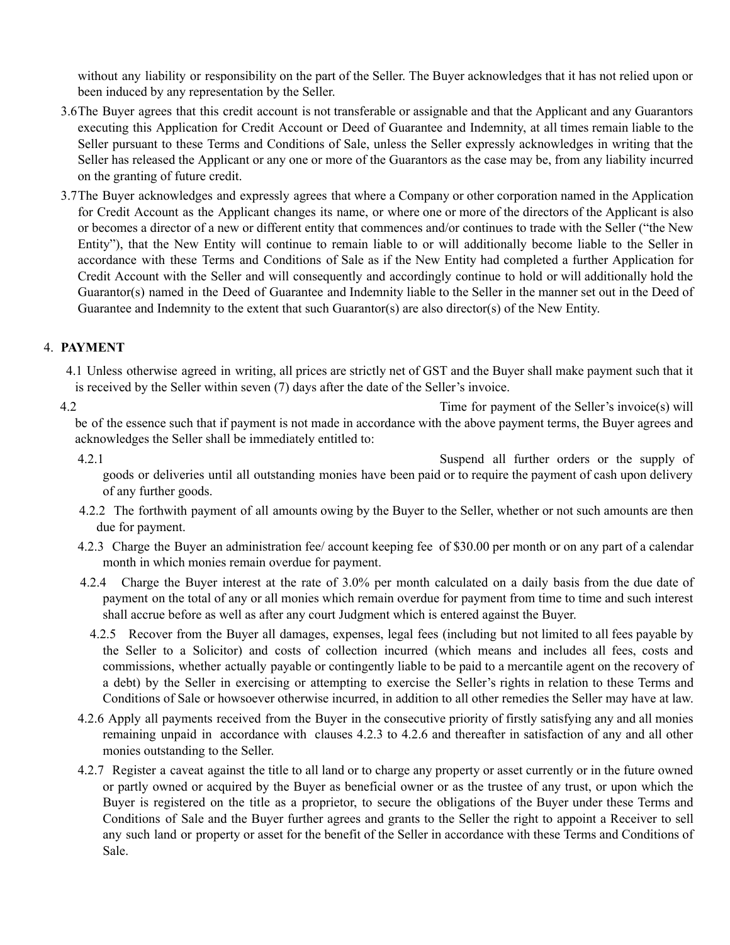without any liability or responsibility on the part of the Seller. The Buyer acknowledges that it has not relied upon or been induced by any representation by the Seller.

- 3.6The Buyer agrees that this credit account is not transferable or assignable and that the Applicant and any Guarantors executing this Application for Credit Account or Deed of Guarantee and Indemnity, at all times remain liable to the Seller pursuant to these Terms and Conditions of Sale, unless the Seller expressly acknowledges in writing that the Seller has released the Applicant or any one or more of the Guarantors as the case may be, from any liability incurred on the granting of future credit.
- 3.7The Buyer acknowledges and expressly agrees that where a Company or other corporation named in the Application for Credit Account as the Applicant changes its name, or where one or more of the directors of the Applicant is also or becomes a director of a new or different entity that commences and/or continues to trade with the Seller ("the New Entity"), that the New Entity will continue to remain liable to or will additionally become liable to the Seller in accordance with these Terms and Conditions of Sale as if the New Entity had completed a further Application for Credit Account with the Seller and will consequently and accordingly continue to hold or will additionally hold the Guarantor(s) named in the Deed of Guarantee and Indemnity liable to the Seller in the manner set out in the Deed of Guarantee and Indemnity to the extent that such Guarantor(s) are also director(s) of the New Entity.

## 4. **PAYMENT**

4.1 Unless otherwise agreed in writing, all prices are strictly net of GST and the Buyer shall make payment such that it is received by the Seller within seven (7) days after the date of the Seller's invoice.

4.2 Time for payment of the Seller's invoice(s) will be of the essence such that if payment is not made in accordance with the above payment terms, the Buyer agrees and acknowledges the Seller shall be immediately entitled to:

4.2.1 Suspend all further orders or the supply of goods or deliveries until all outstanding monies have been paid or to require the payment of cash upon delivery of any further goods.

- 4.2.2 The forthwith payment of all amounts owing by the Buyer to the Seller, whether or not such amounts are then due for payment.
- 4.2.3 Charge the Buyer an administration fee/ account keeping fee of \$30.00 per month or on any part of a calendar month in which monies remain overdue for payment.
- 4.2.4 Charge the Buyer interest at the rate of 3.0% per month calculated on a daily basis from the due date of payment on the total of any or all monies which remain overdue for payment from time to time and such interest shall accrue before as well as after any court Judgment which is entered against the Buyer.
	- 4.2.5 Recover from the Buyer all damages, expenses, legal fees (including but not limited to all fees payable by the Seller to a Solicitor) and costs of collection incurred (which means and includes all fees, costs and commissions, whether actually payable or contingently liable to be paid to a mercantile agent on the recovery of a debt) by the Seller in exercising or attempting to exercise the Seller's rights in relation to these Terms and Conditions of Sale or howsoever otherwise incurred, in addition to all other remedies the Seller may have at law.
- 4.2.6 Apply all payments received from the Buyer in the consecutive priority of firstly satisfying any and all monies remaining unpaid in accordance with clauses 4.2.3 to 4.2.6 and thereafter in satisfaction of any and all other monies outstanding to the Seller.
- 4.2.7 Register a caveat against the title to all land or to charge any property or asset currently or in the future owned or partly owned or acquired by the Buyer as beneficial owner or as the trustee of any trust, or upon which the Buyer is registered on the title as a proprietor, to secure the obligations of the Buyer under these Terms and Conditions of Sale and the Buyer further agrees and grants to the Seller the right to appoint a Receiver to sell any such land or property or asset for the benefit of the Seller in accordance with these Terms and Conditions of Sale.